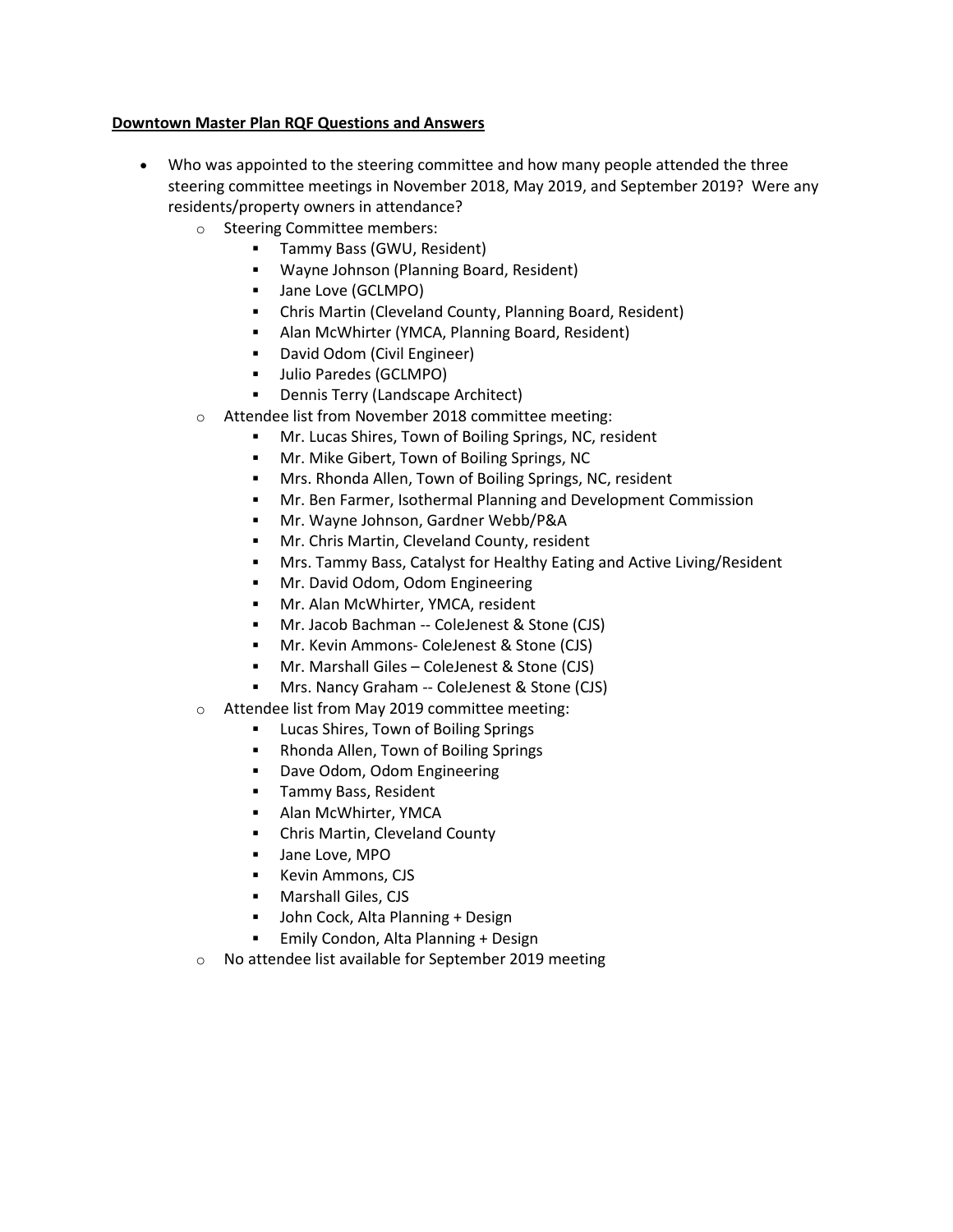## **Downtown Master Plan RQF Questions and Answers**

- Who was appointed to the steering committee and how many people attended the three steering committee meetings in November 2018, May 2019, and September 2019? Were any residents/property owners in attendance?
	- o Steering Committee members:
		- **Tammy Bass (GWU, Resident)**
		- Wayne Johnson (Planning Board, Resident)
		- **Jane Love (GCLMPO)**
		- Chris Martin (Cleveland County, Planning Board, Resident)
		- Alan McWhirter (YMCA, Planning Board, Resident)
		- David Odom (Civil Engineer)
		- Julio Paredes (GCLMPO)
		- Dennis Terry (Landscape Architect)
	- o Attendee list from November 2018 committee meeting:
		- Mr. Lucas Shires, Town of Boiling Springs, NC, resident
		- **Mr. Mike Gibert, Town of Boiling Springs, NC**
		- Mrs. Rhonda Allen, Town of Boiling Springs, NC, resident
		- Mr. Ben Farmer, Isothermal Planning and Development Commission
		- Mr. Wayne Johnson, Gardner Webb/P&A
		- **Mr. Chris Martin, Cleveland County, resident**
		- Mrs. Tammy Bass, Catalyst for Healthy Eating and Active Living/Resident
		- **Mr. David Odom, Odom Engineering**
		- **Mr. Alan McWhirter, YMCA, resident**
		- Mr. Jacob Bachman -- ColeJenest & Stone (CJS)
		- Mr. Kevin Ammons- ColeJenest & Stone (CJS)
		- Mr. Marshall Giles ColeJenest & Stone (CJS)
		- Mrs. Nancy Graham -- ColeJenest & Stone (CJS)
	- o Attendee list from May 2019 committee meeting:
		- Lucas Shires, Town of Boiling Springs
		- Rhonda Allen, Town of Boiling Springs
		- **•** Dave Odom, Odom Engineering
		- **Tammy Bass, Resident**
		- **-** Alan McWhirter, YMCA
		- Chris Martin, Cleveland County
		- **Jane Love, MPO**
		- Kevin Ammons, CJS
		- **Marshall Giles, CJS**
		- John Cock, Alta Planning + Design
		- **Emily Condon, Alta Planning + Design**
	- o No attendee list available for September 2019 meeting